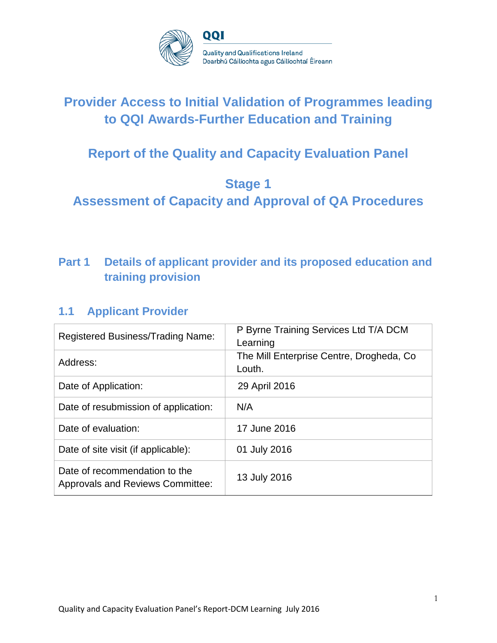

# **Provider Access to Initial Validation of Programmes leading to QQI Awards-Further Education and Training**

# **Report of the Quality and Capacity Evaluation Panel**

## **Stage 1**

**Assessment of Capacity and Approval of QA Procedures**

## **Part 1 Details of applicant provider and its proposed education and training provision**

### **1.1 Applicant Provider**

| <b>Registered Business/Trading Name:</b>                                 | P Byrne Training Services Ltd T/A DCM<br>Learning   |
|--------------------------------------------------------------------------|-----------------------------------------------------|
| Address:                                                                 | The Mill Enterprise Centre, Drogheda, Co.<br>Louth. |
| Date of Application:                                                     | 29 April 2016                                       |
| Date of resubmission of application:                                     | N/A                                                 |
| Date of evaluation:                                                      | 17 June 2016                                        |
| Date of site visit (if applicable):                                      | 01 July 2016                                        |
| Date of recommendation to the<br><b>Approvals and Reviews Committee:</b> | 13 July 2016                                        |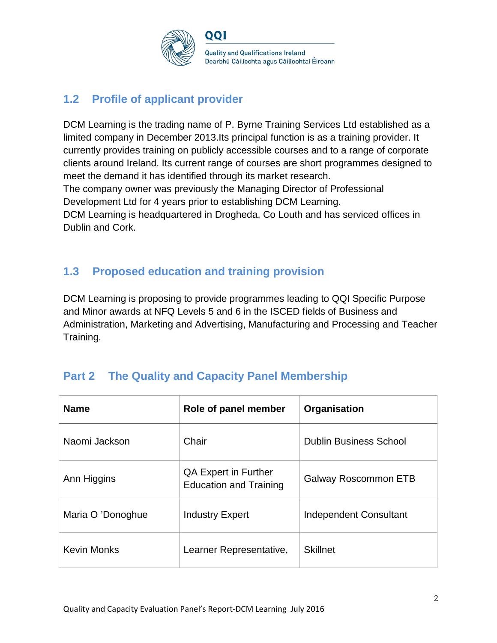

## **1.2 Profile of applicant provider**

DCM Learning is the trading name of P. Byrne Training Services Ltd established as a limited company in December 2013.Its principal function is as a training provider. It currently provides training on publicly accessible courses and to a range of corporate clients around Ireland. Its current range of courses are short programmes designed to meet the demand it has identified through its market research. The company owner was previously the Managing Director of Professional Development Ltd for 4 years prior to establishing DCM Learning.

DCM Learning is headquartered in Drogheda, Co Louth and has serviced offices in Dublin and Cork.

## **1.3 Proposed education and training provision**

DCM Learning is proposing to provide programmes leading to QQI Specific Purpose and Minor awards at NFQ Levels 5 and 6 in the ISCED fields of Business and Administration, Marketing and Advertising, Manufacturing and Processing and Teacher Training.

## **Part 2 The Quality and Capacity Panel Membership**

| <b>Name</b>        | Role of panel member                                         | Organisation                  |
|--------------------|--------------------------------------------------------------|-------------------------------|
| Naomi Jackson      | Chair                                                        | <b>Dublin Business School</b> |
| Ann Higgins        | <b>QA Expert in Further</b><br><b>Education and Training</b> | <b>Galway Roscommon ETB</b>   |
| Maria O 'Donoghue  | <b>Industry Expert</b>                                       | <b>Independent Consultant</b> |
| <b>Kevin Monks</b> | Learner Representative,                                      | <b>Skillnet</b>               |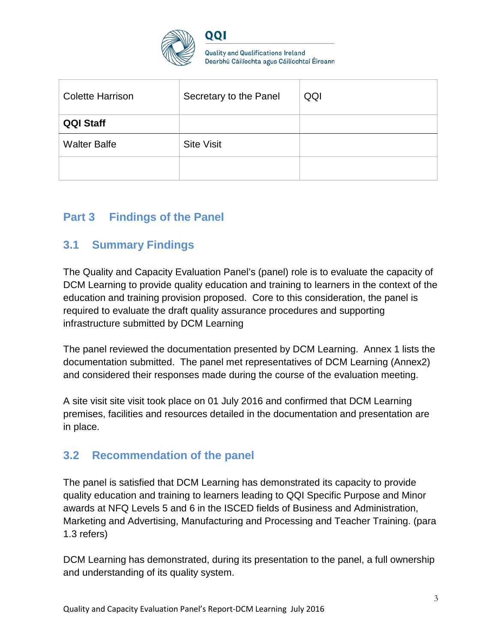

**Quality and Qualifications Ireland** Dearbhú Cáilíochta agus Cáilíochtaí Éireann

| <b>Colette Harrison</b> | Secretary to the Panel | QQI |
|-------------------------|------------------------|-----|
| <b>QQI Staff</b>        |                        |     |
| <b>Walter Balfe</b>     | <b>Site Visit</b>      |     |
|                         |                        |     |

## **Part 3 Findings of the Panel**

### **3.1 Summary Findings**

The Quality and Capacity Evaluation Panel's (panel) role is to evaluate the capacity of DCM Learning to provide quality education and training to learners in the context of the education and training provision proposed. Core to this consideration, the panel is required to evaluate the draft quality assurance procedures and supporting infrastructure submitted by DCM Learning

The panel reviewed the documentation presented by DCM Learning. Annex 1 lists the documentation submitted. The panel met representatives of DCM Learning (Annex2) and considered their responses made during the course of the evaluation meeting.

A site visit site visit took place on 01 July 2016 and confirmed that DCM Learning premises, facilities and resources detailed in the documentation and presentation are in place.

### **3.2 Recommendation of the panel**

The panel is satisfied that DCM Learning has demonstrated its capacity to provide quality education and training to learners leading to QQI Specific Purpose and Minor awards at NFQ Levels 5 and 6 in the ISCED fields of Business and Administration, Marketing and Advertising, Manufacturing and Processing and Teacher Training. (para 1.3 refers)

DCM Learning has demonstrated, during its presentation to the panel, a full ownership and understanding of its quality system.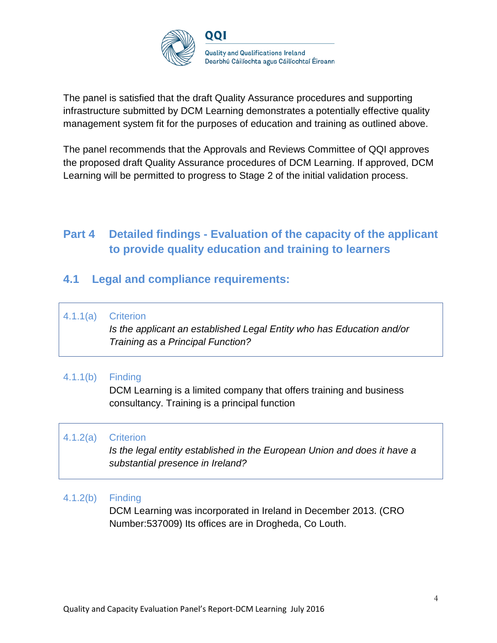

The panel is satisfied that the draft Quality Assurance procedures and supporting infrastructure submitted by DCM Learning demonstrates a potentially effective quality management system fit for the purposes of education and training as outlined above.

The panel recommends that the Approvals and Reviews Committee of QQI approves the proposed draft Quality Assurance procedures of DCM Learning. If approved, DCM Learning will be permitted to progress to Stage 2 of the initial validation process.

## **Part 4 Detailed findings - Evaluation of the capacity of the applicant to provide quality education and training to learners**

### **4.1 Legal and compliance requirements:**

4.1.1(a) Criterion

*Is the applicant an established Legal Entity who has Education and/or Training as a Principal Function?*

#### 4.1.1(b) Finding

DCM Learning is a limited company that offers training and business consultancy. Training is a principal function

#### 4.1.2(a) Criterion

*Is the legal entity established in the European Union and does it have a substantial presence in Ireland?*

#### 4.1.2(b) Finding

DCM Learning was incorporated in Ireland in December 2013. (CRO Number:537009) Its offices are in Drogheda, Co Louth.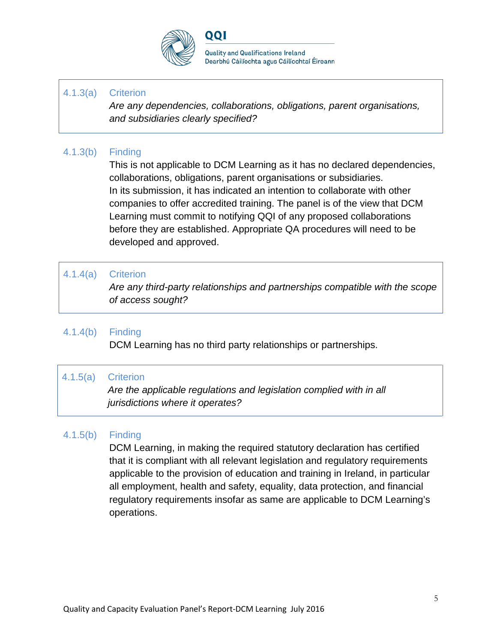

#### 4.1.3(a) Criterion

*Are any dependencies, collaborations, obligations, parent organisations, and subsidiaries clearly specified?*

#### 4.1.3(b) Finding

This is not applicable to DCM Learning as it has no declared dependencies, collaborations, obligations, parent organisations or subsidiaries. In its submission, it has indicated an intention to collaborate with other companies to offer accredited training. The panel is of the view that DCM Learning must commit to notifying QQI of any proposed collaborations before they are established. Appropriate QA procedures will need to be developed and approved.

#### 4.1.4(a) Criterion

*Are any third-party relationships and partnerships compatible with the scope of access sought?*

#### 4.1.4(b) Finding

DCM Learning has no third party relationships or partnerships.

#### 4.1.5(a) Criterion

*Are the applicable regulations and legislation complied with in all jurisdictions where it operates?*

#### 4.1.5(b) Finding

DCM Learning, in making the required statutory declaration has certified that it is compliant with all relevant legislation and regulatory requirements applicable to the provision of education and training in Ireland, in particular all employment, health and safety, equality, data protection, and financial regulatory requirements insofar as same are applicable to DCM Learning's operations.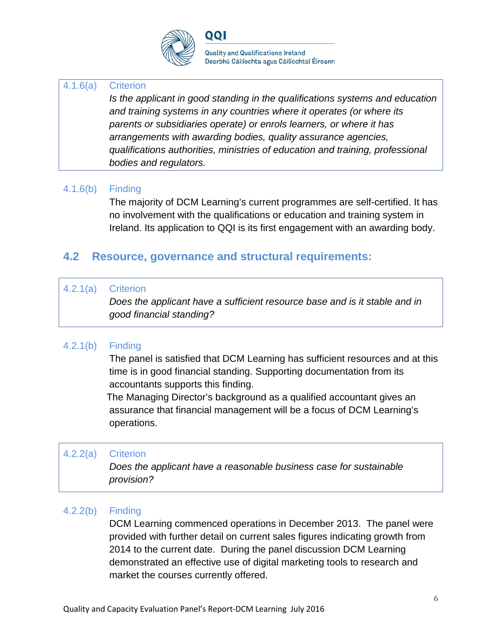

#### 4.1.6(a) Criterion

*Is the applicant in good standing in the qualifications systems and education and training systems in any countries where it operates (or where its parents or subsidiaries operate) or enrols learners, or where it has arrangements with awarding bodies, quality assurance agencies, qualifications authorities, ministries of education and training, professional bodies and regulators.*

#### 4.1.6(b) Finding

The majority of DCM Learning's current programmes are self-certified. It has no involvement with the qualifications or education and training system in Ireland. Its application to QQI is its first engagement with an awarding body.

### **4.2 Resource, governance and structural requirements:**

#### 4.2.1(a) Criterion

*Does the applicant have a sufficient resource base and is it stable and in good financial standing?*

#### 4.2.1(b) Finding

The panel is satisfied that DCM Learning has sufficient resources and at this time is in good financial standing. Supporting documentation from its accountants supports this finding.

 The Managing Director's background as a qualified accountant gives an assurance that financial management will be a focus of DCM Learning's operations.

#### 4.2.2(a) Criterion

*Does the applicant have a reasonable business case for sustainable provision?*

#### 4.2.2(b) Finding

DCM Learning commenced operations in December 2013. The panel were provided with further detail on current sales figures indicating growth from 2014 to the current date. During the panel discussion DCM Learning demonstrated an effective use of digital marketing tools to research and market the courses currently offered.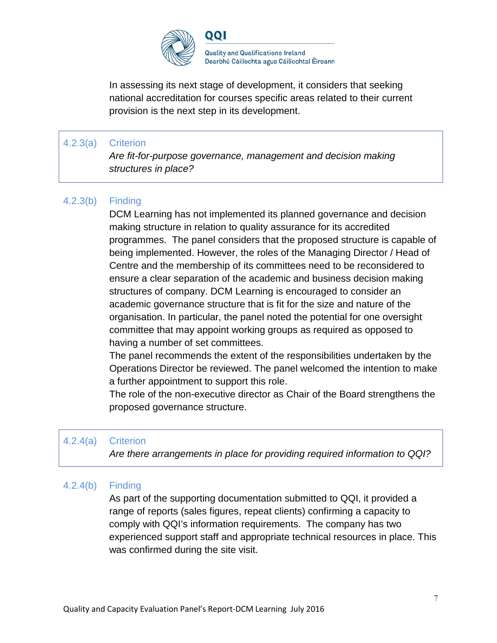

In assessing its next stage of development, it considers that seeking

national accreditation for courses specific areas related to their current provision is the next step in its development.

#### 4.2.3(a) Criterion

*Are fit-for-purpose governance, management and decision making structures in place?*

### 4.2.3(b) Finding

DCM Learning has not implemented its planned governance and decision making structure in relation to quality assurance for its accredited programmes. The panel considers that the proposed structure is capable of being implemented. However, the roles of the Managing Director / Head of Centre and the membership of its committees need to be reconsidered to ensure a clear separation of the academic and business decision making structures of company. DCM Learning is encouraged to consider an academic governance structure that is fit for the size and nature of the organisation. In particular, the panel noted the potential for one oversight committee that may appoint working groups as required as opposed to having a number of set committees.

The panel recommends the extent of the responsibilities undertaken by the Operations Director be reviewed. The panel welcomed the intention to make a further appointment to support this role.

 The role of the non-executive director as Chair of the Board strengthens the proposed governance structure.

#### 4.2.4(a) Criterion

*Are there arrangements in place for providing required information to QQI?*

#### 4.2.4(b) Finding

As part of the supporting documentation submitted to QQI, it provided a range of reports (sales figures, repeat clients) confirming a capacity to comply with QQI's information requirements. The company has two experienced support staff and appropriate technical resources in place. This was confirmed during the site visit.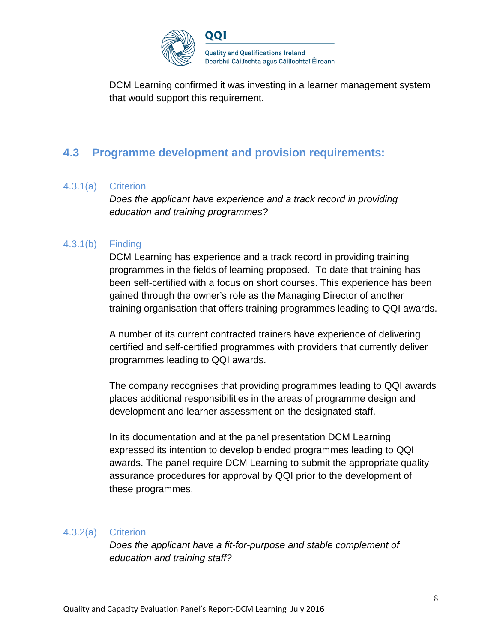

DCM Learning confirmed it was investing in a learner management system that would support this requirement.

## **4.3 Programme development and provision requirements:**

#### 4.3.1(a) Criterion

*Does the applicant have experience and a track record in providing education and training programmes?*

#### 4.3.1(b) Finding

DCM Learning has experience and a track record in providing training programmes in the fields of learning proposed. To date that training has been self-certified with a focus on short courses. This experience has been gained through the owner's role as the Managing Director of another training organisation that offers training programmes leading to QQI awards.

A number of its current contracted trainers have experience of delivering certified and self-certified programmes with providers that currently deliver programmes leading to QQI awards.

The company recognises that providing programmes leading to QQI awards places additional responsibilities in the areas of programme design and development and learner assessment on the designated staff.

In its documentation and at the panel presentation DCM Learning expressed its intention to develop blended programmes leading to QQI awards. The panel require DCM Learning to submit the appropriate quality assurance procedures for approval by QQI prior to the development of these programmes.

#### 4.3.2(a) Criterion

*Does the applicant have a fit-for-purpose and stable complement of education and training staff?*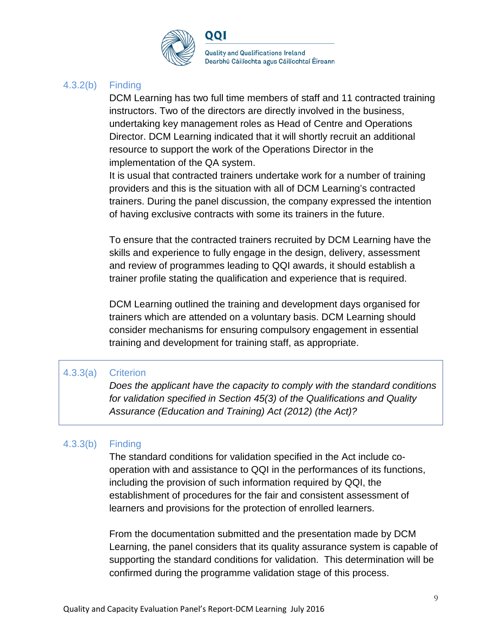

#### 4.3.2(b) Finding

DCM Learning has two full time members of staff and 11 contracted training instructors. Two of the directors are directly involved in the business, undertaking key management roles as Head of Centre and Operations Director. DCM Learning indicated that it will shortly recruit an additional resource to support the work of the Operations Director in the implementation of the QA system.

 It is usual that contracted trainers undertake work for a number of training providers and this is the situation with all of DCM Learning's contracted trainers. During the panel discussion, the company expressed the intention of having exclusive contracts with some its trainers in the future.

 To ensure that the contracted trainers recruited by DCM Learning have the skills and experience to fully engage in the design, delivery, assessment and review of programmes leading to QQI awards, it should establish a trainer profile stating the qualification and experience that is required.

 DCM Learning outlined the training and development days organised for trainers which are attended on a voluntary basis. DCM Learning should consider mechanisms for ensuring compulsory engagement in essential training and development for training staff, as appropriate.

#### 4.3.3(a) Criterion

*Does the applicant have the capacity to comply with the standard conditions for validation specified in Section 45(3) of the Qualifications and Quality Assurance (Education and Training) Act (2012) (the Act)?*

#### 4.3.3(b) Finding

The standard conditions for validation specified in the Act include cooperation with and assistance to QQI in the performances of its functions, including the provision of such information required by QQI, the establishment of procedures for the fair and consistent assessment of learners and provisions for the protection of enrolled learners.

From the documentation submitted and the presentation made by DCM Learning, the panel considers that its quality assurance system is capable of supporting the standard conditions for validation. This determination will be confirmed during the programme validation stage of this process.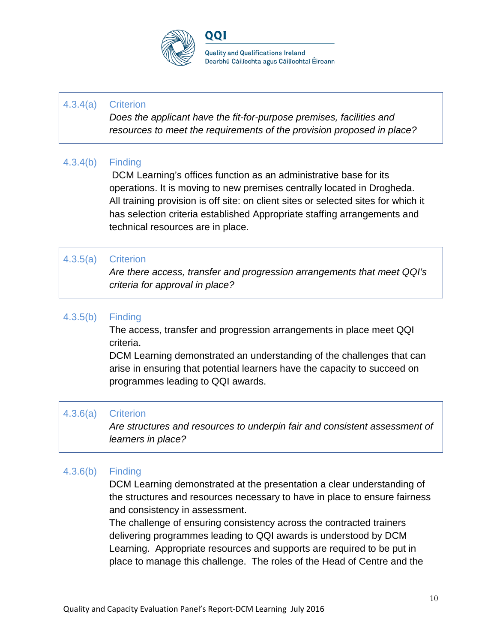

**Quality and Qualifications Ireland** Dearbhú Cáilíochta agus Cáilíochtaí Éireann

#### 4.3.4(a) Criterion

*Does the applicant have the fit-for-purpose premises, facilities and resources to meet the requirements of the provision proposed in place?*

#### 4.3.4(b) Finding

DCM Learning's offices function as an administrative base for its operations. It is moving to new premises centrally located in Drogheda. All training provision is off site: on client sites or selected sites for which it has selection criteria established Appropriate staffing arrangements and technical resources are in place.

#### 4.3.5(a) Criterion

*Are there access, transfer and progression arrangements that meet QQI's criteria for approval in place?*

#### 4.3.5(b) Finding

 The access, transfer and progression arrangements in place meet QQI criteria.

DCM Learning demonstrated an understanding of the challenges that can arise in ensuring that potential learners have the capacity to succeed on programmes leading to QQI awards.

#### 4.3.6(a) Criterion

*Are structures and resources to underpin fair and consistent assessment of learners in place?*

#### 4.3.6(b) Finding

DCM Learning demonstrated at the presentation a clear understanding of the structures and resources necessary to have in place to ensure fairness and consistency in assessment.

The challenge of ensuring consistency across the contracted trainers delivering programmes leading to QQI awards is understood by DCM Learning. Appropriate resources and supports are required to be put in place to manage this challenge. The roles of the Head of Centre and the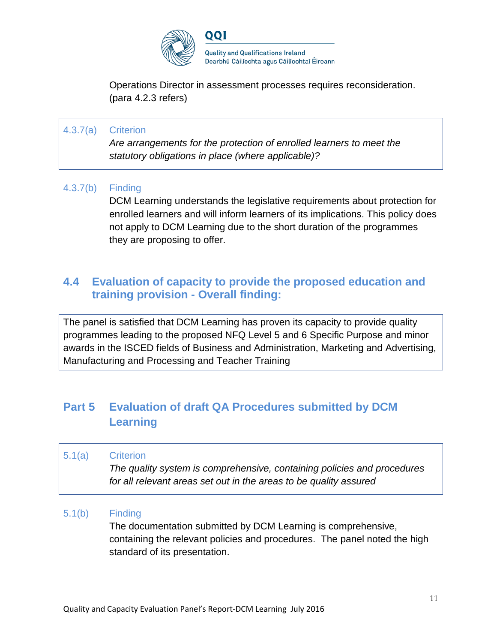

Operations Director in assessment processes requires reconsideration. (para 4.2.3 refers)

### 4.3.7(a) Criterion

*Are arrangements for the protection of enrolled learners to meet the statutory obligations in place (where applicable)?*

#### 4.3.7(b) Finding

DCM Learning understands the legislative requirements about protection for enrolled learners and will inform learners of its implications. This policy does not apply to DCM Learning due to the short duration of the programmes they are proposing to offer.

### **4.4 Evaluation of capacity to provide the proposed education and training provision - Overall finding:**

The panel is satisfied that DCM Learning has proven its capacity to provide quality programmes leading to the proposed NFQ Level 5 and 6 Specific Purpose and minor awards in the ISCED fields of Business and Administration, Marketing and Advertising, Manufacturing and Processing and Teacher Training

## **Part 5 Evaluation of draft QA Procedures submitted by DCM Learning**

5.1(a) Criterion

*The quality system is comprehensive, containing policies and procedures for all relevant areas set out in the areas to be quality assured*

#### 5.1(b) Finding

The documentation submitted by DCM Learning is comprehensive, containing the relevant policies and procedures. The panel noted the high standard of its presentation.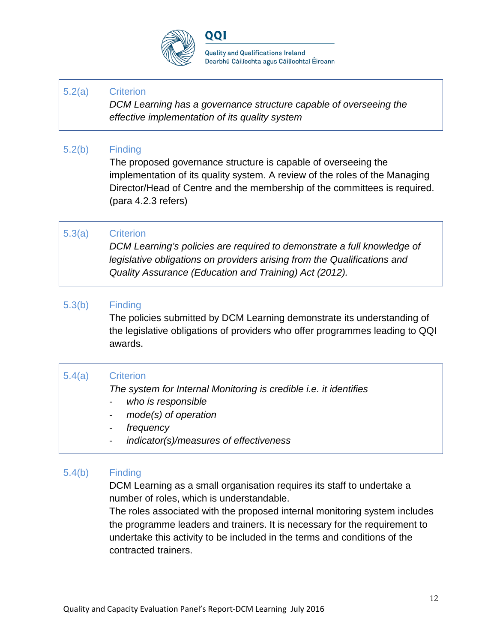

**Quality and Qualifications Ireland** Dearbhú Cáilíochta agus Cáilíochtaí Éireann

#### 5.2(a) Criterion

*DCM Learning has a governance structure capable of overseeing the effective implementation of its quality system*

#### 5.2(b) Finding

The proposed governance structure is capable of overseeing the implementation of its quality system. A review of the roles of the Managing Director/Head of Centre and the membership of the committees is required. (para 4.2.3 refers)

#### 5.3(a) Criterion

*DCM Learning's policies are required to demonstrate a full knowledge of legislative obligations on providers arising from the Qualifications and Quality Assurance (Education and Training) Act (2012).*

#### 5.3(b) Finding

The policies submitted by DCM Learning demonstrate its understanding of the legislative obligations of providers who offer programmes leading to QQI awards.

#### 5.4(a) Criterion

*The system for Internal Monitoring is credible i.e. it identifies*

- *- who is responsible*
- *- mode(s) of operation*
- *- frequency*
- *- indicator(s)/measures of effectiveness*

#### 5.4(b) Finding

DCM Learning as a small organisation requires its staff to undertake a number of roles, which is understandable.

 The roles associated with the proposed internal monitoring system includes the programme leaders and trainers. It is necessary for the requirement to undertake this activity to be included in the terms and conditions of the contracted trainers.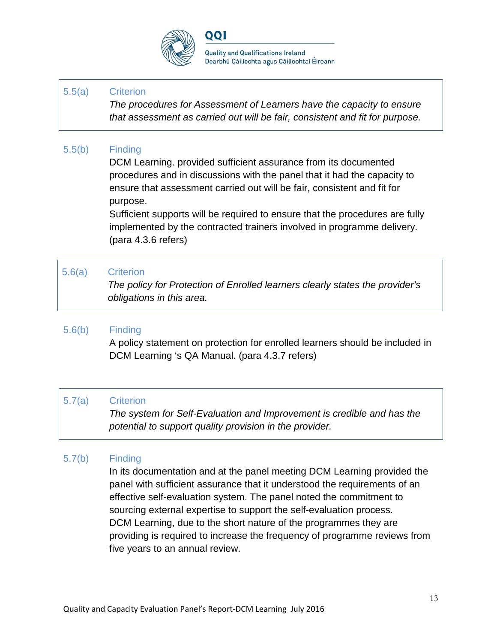

**Quality and Qualifications Ireland** Dearbhú Cáilíochta agus Cáilíochtaí Éireann

#### 5.5(a) Criterion

*The procedures for Assessment of Learners have the capacity to ensure that assessment as carried out will be fair, consistent and fit for purpose.*

#### 5.5(b) Finding

DCM Learning. provided sufficient assurance from its documented procedures and in discussions with the panel that it had the capacity to ensure that assessment carried out will be fair, consistent and fit for purpose.

 Sufficient supports will be required to ensure that the procedures are fully implemented by the contracted trainers involved in programme delivery. (para 4.3.6 refers)

#### 5.6(a) Criterion

*The policy for Protection of Enrolled learners clearly states the provider's obligations in this area.*

#### 5.6(b) Finding

A policy statement on protection for enrolled learners should be included in DCM Learning 's QA Manual. (para 4.3.7 refers)

#### 5.7(a) Criterion

*The system for Self-Evaluation and Improvement is credible and has the potential to support quality provision in the provider.*

#### 5.7(b) Finding

In its documentation and at the panel meeting DCM Learning provided the panel with sufficient assurance that it understood the requirements of an effective self-evaluation system. The panel noted the commitment to sourcing external expertise to support the self-evaluation process. DCM Learning, due to the short nature of the programmes they are providing is required to increase the frequency of programme reviews from five years to an annual review.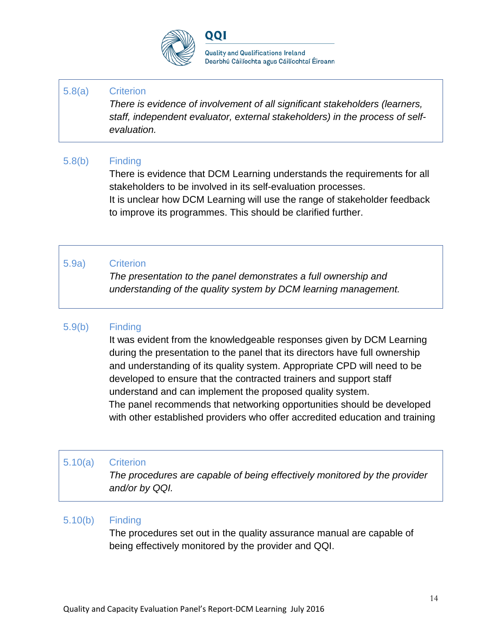

#### 5.8(a) Criterion

*There is evidence of involvement of all significant stakeholders (learners, staff, independent evaluator, external stakeholders) in the process of selfevaluation.*

### 5.8(b) Finding

There is evidence that DCM Learning understands the requirements for all stakeholders to be involved in its self-evaluation processes. It is unclear how DCM Learning will use the range of stakeholder feedback to improve its programmes. This should be clarified further.

### 5.9a) Criterion

*The presentation to the panel demonstrates a full ownership and understanding of the quality system by DCM learning management.*

#### 5.9(b) Finding

It was evident from the knowledgeable responses given by DCM Learning during the presentation to the panel that its directors have full ownership and understanding of its quality system. Appropriate CPD will need to be developed to ensure that the contracted trainers and support staff understand and can implement the proposed quality system. The panel recommends that networking opportunities should be developed with other established providers who offer accredited education and training

#### 5.10(a) Criterion

*The procedures are capable of being effectively monitored by the provider and/or by QQI.*

#### 5.10(b) Finding

The procedures set out in the quality assurance manual are capable of being effectively monitored by the provider and QQI.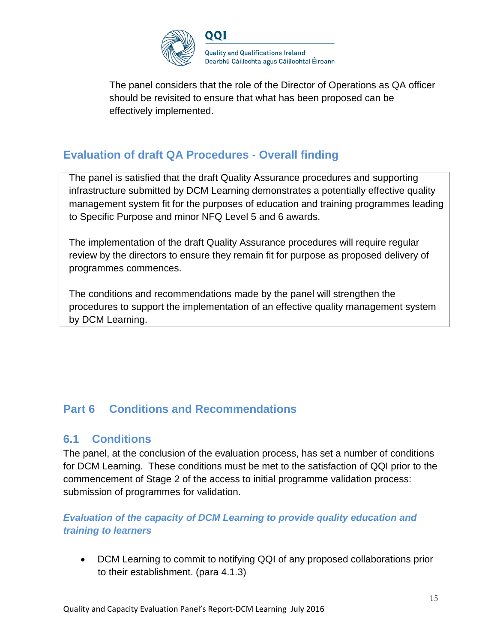

 The panel considers that the role of the Director of Operations as QA officer should be revisited to ensure that what has been proposed can be effectively implemented.

## **Evaluation of draft QA Procedures** - **Overall finding**

The panel is satisfied that the draft Quality Assurance procedures and supporting infrastructure submitted by DCM Learning demonstrates a potentially effective quality management system fit for the purposes of education and training programmes leading to Specific Purpose and minor NFQ Level 5 and 6 awards.

The implementation of the draft Quality Assurance procedures will require regular review by the directors to ensure they remain fit for purpose as proposed delivery of programmes commences.

The conditions and recommendations made by the panel will strengthen the procedures to support the implementation of an effective quality management system by DCM Learning.

## **Part 6 Conditions and Recommendations**

### **6.1 Conditions**

The panel, at the conclusion of the evaluation process, has set a number of conditions for DCM Learning. These conditions must be met to the satisfaction of QQI prior to the commencement of Stage 2 of the access to initial programme validation process: submission of programmes for validation.

### *Evaluation of the capacity of DCM Learning to provide quality education and training to learners*

• DCM Learning to commit to notifying QQI of any proposed collaborations prior to their establishment. (para 4.1.3)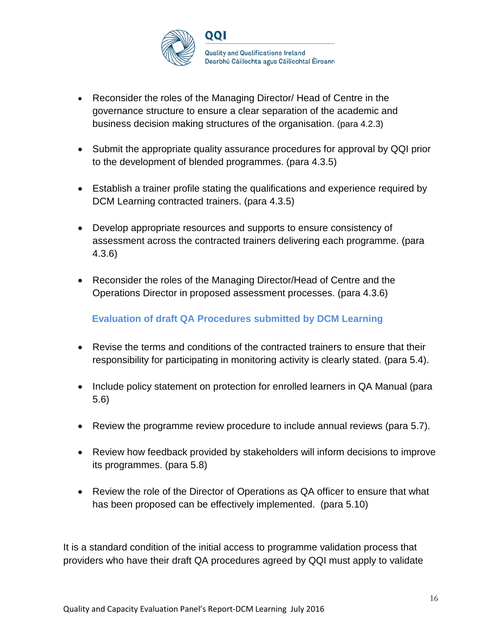

- Reconsider the roles of the Managing Director/ Head of Centre in the governance structure to ensure a clear separation of the academic and business decision making structures of the organisation. (para 4.2.3)
- Submit the appropriate quality assurance procedures for approval by QQI prior to the development of blended programmes. (para 4.3.5)
- Establish a trainer profile stating the qualifications and experience required by DCM Learning contracted trainers. (para 4.3.5)
- Develop appropriate resources and supports to ensure consistency of assessment across the contracted trainers delivering each programme. (para 4.3.6)
- Reconsider the roles of the Managing Director/Head of Centre and the Operations Director in proposed assessment processes. (para 4.3.6)

### **Evaluation of draft QA Procedures submitted by DCM Learning**

- Revise the terms and conditions of the contracted trainers to ensure that their responsibility for participating in monitoring activity is clearly stated. (para 5.4).
- Include policy statement on protection for enrolled learners in QA Manual (para 5.6)
- Review the programme review procedure to include annual reviews (para 5.7).
- Review how feedback provided by stakeholders will inform decisions to improve its programmes. (para 5.8)
- Review the role of the Director of Operations as QA officer to ensure that what has been proposed can be effectively implemented. (para 5.10)

It is a standard condition of the initial access to programme validation process that providers who have their draft QA procedures agreed by QQI must apply to validate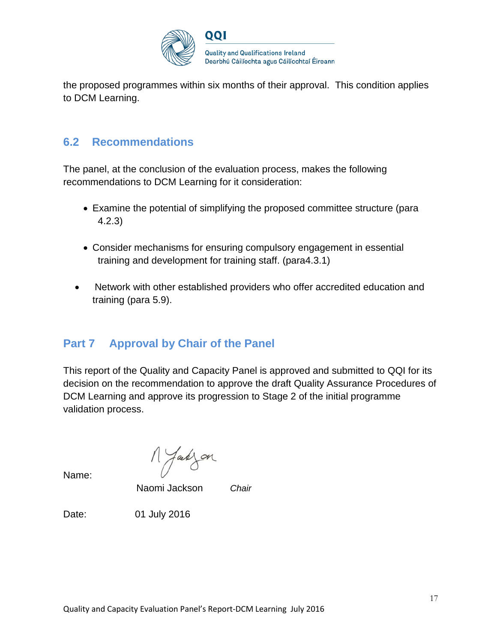

the proposed programmes within six months of their approval. This condition applies to DCM Learning.

### **6.2 Recommendations**

The panel, at the conclusion of the evaluation process, makes the following recommendations to DCM Learning for it consideration:

- Examine the potential of simplifying the proposed committee structure (para 4.2.3)
- Consider mechanisms for ensuring compulsory engagement in essential training and development for training staff. (para4.3.1)
- Network with other established providers who offer accredited education and training (para 5.9).

## **Part 7 Approval by Chair of the Panel**

This report of the Quality and Capacity Panel is approved and submitted to QQI for its decision on the recommendation to approve the draft Quality Assurance Procedures of DCM Learning and approve its progression to Stage 2 of the initial programme validation process.

M Jakzon

Name:

Naomi Jackson *Chair*

Date: 01 July 2016